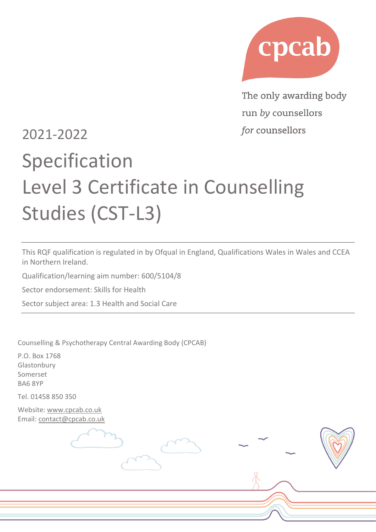

The only awarding body run by counsellors for counsellors

## 2021-2022

# Specification Level 3 Certificate in Counselling Studies (CST-L3)

This RQF qualification is regulated in by Ofqual in England, Qualifications Wales in Wales and CCEA in Northern Ireland.

Qualification/learning aim number: 600/5104/8

Sector endorsement: Skills for Health

Sector subject area: 1.3 Health and Social Care

Counselling & Psychotherapy Central Awarding Body (CPCAB)

P.O. Box 1768 Glastonbury Somerset BA6 8YP

Tel. 01458 850 350

Website: [www.cpcab.co.uk](http://www.cpcab.co.uk/) Email: [contact@cpcab.co.uk](mailto:admin@cpcab.co.uk)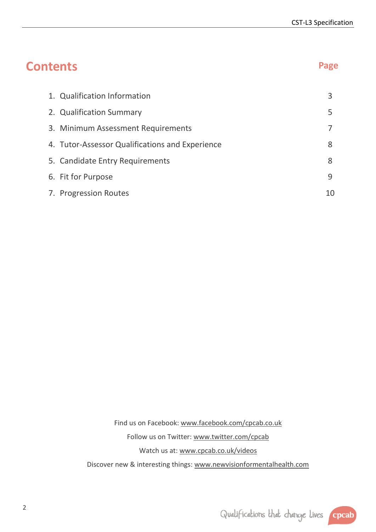| <b>Contents</b>                                 | Page |
|-------------------------------------------------|------|
| 1. Qualification Information                    | 3    |
| 2. Qualification Summary                        | 5    |
| 3. Minimum Assessment Requirements              | 7    |
| 4. Tutor-Assessor Qualifications and Experience | 8    |
| 5. Candidate Entry Requirements                 | 8    |
| 6. Fit for Purpose                              | 9    |
| 7. Progression Routes                           | 10   |

Find us on Facebook: [www.facebook.com/cpcab.co.uk](http://www.facebook.com/cpcab.co.uk) Follow us on Twitter: [www.twitter.com/cpcab](http://www.twitter.com/cpcab) Watch us at: [www.cpcab.co.uk/videos](http://www.cpcab.co.uk/videos) Discover new & interesting things: [www.newvisionformentalhealth.com](http://www.newvisionformentalhealth.com/)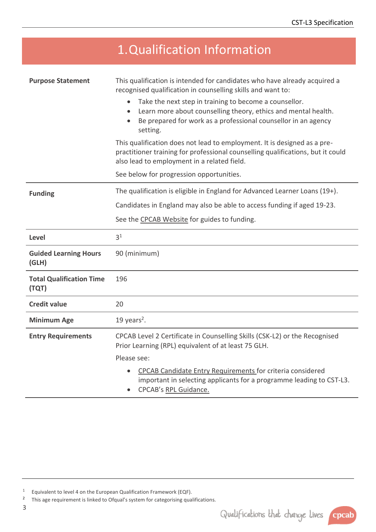<span id="page-2-0"></span>

|                                          | 1. Qualification Information                                                                                                                                                                                                                                                                                                                                    |  |  |
|------------------------------------------|-----------------------------------------------------------------------------------------------------------------------------------------------------------------------------------------------------------------------------------------------------------------------------------------------------------------------------------------------------------------|--|--|
| <b>Purpose Statement</b>                 | This qualification is intended for candidates who have already acquired a<br>recognised qualification in counselling skills and want to:<br>Take the next step in training to become a counsellor.<br>Learn more about counselling theory, ethics and mental health.<br>Be prepared for work as a professional counsellor in an agency<br>$\bullet$<br>setting. |  |  |
|                                          | This qualification does not lead to employment. It is designed as a pre-<br>practitioner training for professional counselling qualifications, but it could<br>also lead to employment in a related field.<br>See below for progression opportunities.                                                                                                          |  |  |
| <b>Funding</b>                           | The qualification is eligible in England for Advanced Learner Loans (19+).                                                                                                                                                                                                                                                                                      |  |  |
|                                          | Candidates in England may also be able to access funding if aged 19-23.                                                                                                                                                                                                                                                                                         |  |  |
|                                          | See the CPCAB Website for guides to funding.                                                                                                                                                                                                                                                                                                                    |  |  |
| Level                                    | 3 <sup>1</sup>                                                                                                                                                                                                                                                                                                                                                  |  |  |
| <b>Guided Learning Hours</b><br>(GLH)    | 90 (minimum)                                                                                                                                                                                                                                                                                                                                                    |  |  |
| <b>Total Qualification Time</b><br>(TQT) | 196                                                                                                                                                                                                                                                                                                                                                             |  |  |
| <b>Credit value</b>                      | 20                                                                                                                                                                                                                                                                                                                                                              |  |  |
| <b>Minimum Age</b>                       | 19 years <sup>2</sup> .                                                                                                                                                                                                                                                                                                                                         |  |  |
| <b>Entry Requirements</b>                | CPCAB Level 2 Certificate in Counselling Skills (CSK-L2) or the Recognised<br>Prior Learning (RPL) equivalent of at least 75 GLH.                                                                                                                                                                                                                               |  |  |
|                                          | Please see:                                                                                                                                                                                                                                                                                                                                                     |  |  |
|                                          | CPCAB Candidate Entry Requirements for criteria considered<br>important in selecting applicants for a programme leading to CST-L3.<br>CPCAB's RPL Guidance.                                                                                                                                                                                                     |  |  |



<sup>1</sup> Equivalent to level 4 on the European Qualification Framework (EQF).

<sup>2</sup> This age requirement is linked to Ofqual's system for categorising qualifications.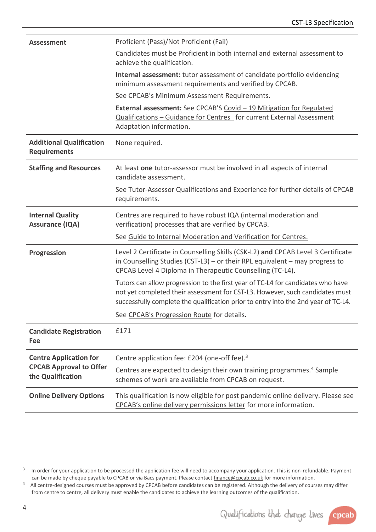| <b>Assessment</b>                                      | Proficient (Pass)/Not Proficient (Fail)                                                                                                                                                                                                               |
|--------------------------------------------------------|-------------------------------------------------------------------------------------------------------------------------------------------------------------------------------------------------------------------------------------------------------|
|                                                        | Candidates must be Proficient in both internal and external assessment to<br>achieve the qualification.                                                                                                                                               |
|                                                        | <b>Internal assessment:</b> tutor assessment of candidate portfolio evidencing<br>minimum assessment requirements and verified by CPCAB.                                                                                                              |
|                                                        | See CPCAB's Minimum Assessment Requirements.                                                                                                                                                                                                          |
|                                                        | External assessment: See CPCAB'S Covid - 19 Mitigation for Regulated<br>Qualifications - Guidance for Centres for current External Assessment<br>Adaptation information.                                                                              |
| <b>Additional Qualification</b><br><b>Requirements</b> | None required.                                                                                                                                                                                                                                        |
| <b>Staffing and Resources</b>                          | At least one tutor-assessor must be involved in all aspects of internal<br>candidate assessment.                                                                                                                                                      |
|                                                        | See Tutor-Assessor Qualifications and Experience for further details of CPCAB<br>requirements.                                                                                                                                                        |
| <b>Internal Quality</b><br><b>Assurance (IQA)</b>      | Centres are required to have robust IQA (internal moderation and<br>verification) processes that are verified by CPCAB.                                                                                                                               |
|                                                        | See Guide to Internal Moderation and Verification for Centres.                                                                                                                                                                                        |
| Progression                                            | Level 2 Certificate in Counselling Skills (CSK-L2) and CPCAB Level 3 Certificate<br>in Counselling Studies (CST-L3) - or their RPL equivalent $-$ may progress to<br>CPCAB Level 4 Diploma in Therapeutic Counselling (TC-L4).                        |
|                                                        | Tutors can allow progression to the first year of TC-L4 for candidates who have<br>not yet completed their assessment for CST-L3. However, such candidates must<br>successfully complete the qualification prior to entry into the 2nd year of TC-L4. |
|                                                        | See CPCAB's Progression Route for details.                                                                                                                                                                                                            |
| <b>Candidate Registration</b><br>Fee                   | £171                                                                                                                                                                                                                                                  |
| <b>Centre Application for</b>                          | Centre application fee: £204 (one-off fee). <sup>3</sup>                                                                                                                                                                                              |
| <b>CPCAB Approval to Offer</b><br>the Qualification    | Centres are expected to design their own training programmes. <sup>4</sup> Sample<br>schemes of work are available from CPCAB on request.                                                                                                             |
| <b>Online Delivery Options</b>                         | This qualification is now eligible for post pandemic online delivery. Please see<br>CPCAB's online delivery permissions letter for more information.                                                                                                  |



cpcab

4

<sup>3</sup> In order for your application to be processed the application fee will need to accompany your application. This is non-refundable. Payment can be made by cheque payable to CPCAB or via Bacs payment. Please contact finance@cpcab.co.uk for more information.

<sup>4</sup> All centre-designed courses must be approved by CPCAB before candidates can be registered. Although the delivery of courses may differ from centre to centre, all delivery must enable the candidates to achieve the learning outcomes of the qualification.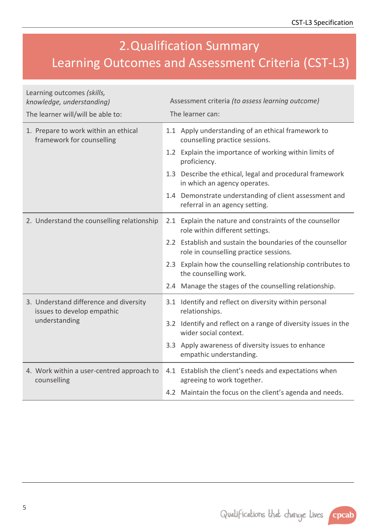### <span id="page-4-0"></span>2.Qualification Summary Learning Outcomes and Assessment Criteria (CST-L3)

| Learning outcomes (skills,<br>knowledge, understanding)              | Assessment criteria (to assess learning outcome)                                                     |  |
|----------------------------------------------------------------------|------------------------------------------------------------------------------------------------------|--|
| The learner will/will be able to:                                    | The learner can:                                                                                     |  |
| 1. Prepare to work within an ethical<br>framework for counselling    | 1.1 Apply understanding of an ethical framework to<br>counselling practice sessions.                 |  |
|                                                                      | 1.2 Explain the importance of working within limits of<br>proficiency.                               |  |
|                                                                      | 1.3 Describe the ethical, legal and procedural framework<br>in which an agency operates.             |  |
|                                                                      | 1.4 Demonstrate understanding of client assessment and<br>referral in an agency setting.             |  |
| 2. Understand the counselling relationship                           | 2.1 Explain the nature and constraints of the counsellor<br>role within different settings.          |  |
|                                                                      | 2.2 Establish and sustain the boundaries of the counsellor<br>role in counselling practice sessions. |  |
|                                                                      | 2.3 Explain how the counselling relationship contributes to<br>the counselling work.                 |  |
|                                                                      | 2.4 Manage the stages of the counselling relationship.                                               |  |
| 3. Understand difference and diversity<br>issues to develop empathic | 3.1 Identify and reflect on diversity within personal<br>relationships.                              |  |
| understanding                                                        | 3.2 Identify and reflect on a range of diversity issues in the<br>wider social context.              |  |
|                                                                      | 3.3 Apply awareness of diversity issues to enhance<br>empathic understanding.                        |  |
| 4. Work within a user-centred approach to<br>counselling             | 4.1 Establish the client's needs and expectations when<br>agreeing to work together.                 |  |
|                                                                      | 4.2 Maintain the focus on the client's agenda and needs.                                             |  |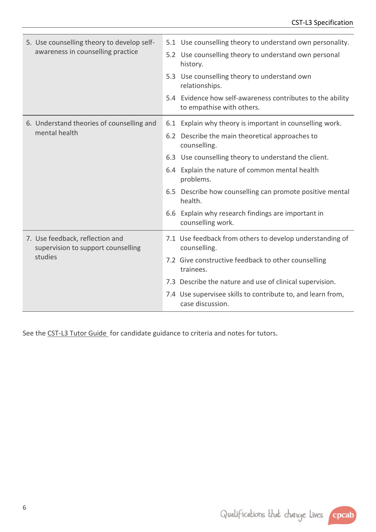| 5. Use counselling theory to develop self-<br>awareness in counselling practice  | 5.1 Use counselling theory to understand own personality.<br>5.2 Use counselling theory to understand own personal<br>history.<br>5.3 Use counselling theory to understand own<br>relationships.<br>5.4 Evidence how self-awareness contributes to the ability<br>to empathise with others.                                                                                                          |
|----------------------------------------------------------------------------------|------------------------------------------------------------------------------------------------------------------------------------------------------------------------------------------------------------------------------------------------------------------------------------------------------------------------------------------------------------------------------------------------------|
| 6. Understand theories of counselling and<br>mental health                       | 6.1 Explain why theory is important in counselling work.<br>6.2 Describe the main theoretical approaches to<br>counselling.<br>6.3 Use counselling theory to understand the client.<br>6.4 Explain the nature of common mental health<br>problems.<br>6.5 Describe how counselling can promote positive mental<br>health.<br>6.6 Explain why research findings are important in<br>counselling work. |
| 7. Use feedback, reflection and<br>supervision to support counselling<br>studies | 7.1 Use feedback from others to develop understanding of<br>counselling.<br>7.2 Give constructive feedback to other counselling<br>trainees.<br>7.3 Describe the nature and use of clinical supervision.<br>7.4 Use supervisee skills to contribute to, and learn from,<br>case discussion.                                                                                                          |

See the [CST-L3 Tutor Guide](https://www.cpcab.co.uk/public_docs/cst-l3_tutor_guide) for candidate guidance to criteria and notes for tutors.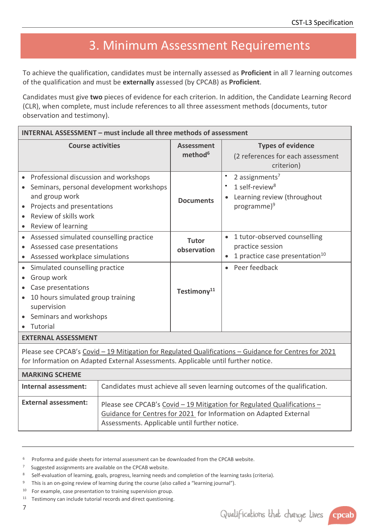#### <span id="page-6-0"></span>3. Minimum Assessment Requirements

To achieve the qualification, candidates must be internally assessed as **Proficient** in all 7 learning outcomes of the qualification and must be **externally** assessed (by CPCAB) as **Proficient**.

Candidates must give **two** pieces of evidence for each criterion. In addition, the Candidate Learning Record (CLR), when complete, must include references to all three assessment methods (documents, tutor observation and testimony).

| <b>INTERNAL ASSESSMENT - must include all three methods of assessment</b>                                                                                                                     |                                          |                                                                                                                    |
|-----------------------------------------------------------------------------------------------------------------------------------------------------------------------------------------------|------------------------------------------|--------------------------------------------------------------------------------------------------------------------|
| <b>Course activities</b>                                                                                                                                                                      | <b>Assessment</b><br>method <sup>6</sup> | <b>Types of evidence</b><br>(2 references for each assessment<br>criterion)                                        |
| Professional discussion and workshops<br>Seminars, personal development workshops<br>and group work<br>Projects and presentations<br>Review of skills work<br>Review of learning<br>$\bullet$ | <b>Documents</b>                         | 2 assignments $7$<br>٠<br>1 self-review $8$<br>$\bullet$<br>Learning review (throughout<br>programme) <sup>9</sup> |
| Assessed simulated counselling practice<br>Assessed case presentations<br>Assessed workplace simulations                                                                                      | <b>Tutor</b><br>observation              | 1 tutor-observed counselling<br>practice session<br>1 practice case presentation <sup>10</sup><br>$\bullet$        |
| Simulated counselling practice<br>$\bullet$<br>Group work<br>$\bullet$<br>Case presentations<br>10 hours simulated group training<br>supervision<br>Seminars and workshops<br>Tutorial        | Testimony <sup>11</sup>                  | Peer feedback<br>$\bullet$                                                                                         |
| <b>EXTERNAL ASSESSMENT</b>                                                                                                                                                                    |                                          |                                                                                                                    |
| Please see CPCAB's Covid - 19 Mitigation for Regulated Qualifications - Guidance for Centres for 2021<br>for Information on Adapted External Assessments. Applicable until further notice.    |                                          |                                                                                                                    |

| <b>MARKING SCHEME</b>       |                                                                                                                                                                                               |
|-----------------------------|-----------------------------------------------------------------------------------------------------------------------------------------------------------------------------------------------|
| Internal assessment:        | Candidates must achieve all seven learning outcomes of the qualification.                                                                                                                     |
| <b>External assessment:</b> | Please see CPCAB's Covid - 19 Mitigation for Regulated Qualifications -<br>Guidance for Centres for 2021 for Information on Adapted External<br>Assessments. Applicable until further notice. |

<sup>&</sup>lt;sup>6</sup> Proforma and guide sheets for internal assessment can be downloaded from the CPCAB website.

<sup>7</sup> Suggested assignments are available on the CPCAB website.

<sup>8</sup> Self-evaluation of learning, goals, progress, learning needs and completion of the learning tasks (criteria).

<sup>&</sup>lt;sup>9</sup> This is an on-going review of learning during the course (also called a "learning journal").

<sup>10</sup> For example, case presentation to training supervision group.

<sup>11</sup> Testimony can include tutorial records and direct questioning.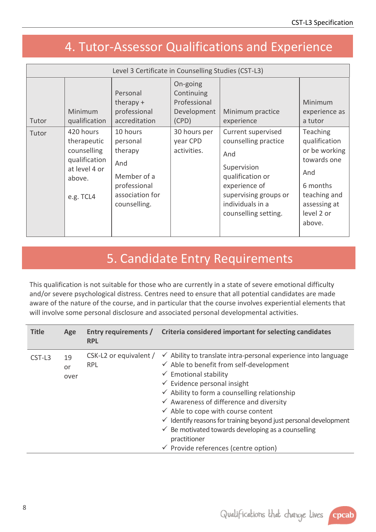#### <span id="page-7-0"></span>4. Tutor-Assessor Qualifications and Experience

| Level 3 Certificate in Counselling Studies (CST-L3) |                                                                                                  |                                                                                                          |                                                                |                                                                                                                                                                            |                                                                                                                                             |
|-----------------------------------------------------|--------------------------------------------------------------------------------------------------|----------------------------------------------------------------------------------------------------------|----------------------------------------------------------------|----------------------------------------------------------------------------------------------------------------------------------------------------------------------------|---------------------------------------------------------------------------------------------------------------------------------------------|
| Tutor                                               | <b>Minimum</b><br>qualification                                                                  | Personal<br>therapy $+$<br>professional<br>accreditation                                                 | On-going<br>Continuing<br>Professional<br>Development<br>(CPD) | Minimum practice<br>experience                                                                                                                                             | Minimum<br>experience as<br>a tutor                                                                                                         |
| Tutor                                               | 420 hours<br>therapeutic<br>counselling<br>qualification<br>at level 4 or<br>above.<br>e.g. TCL4 | 10 hours<br>personal<br>therapy<br>And<br>Member of a<br>professional<br>association for<br>counselling. | 30 hours per<br>year CPD<br>activities.                        | Current supervised<br>counselling practice<br>And<br>Supervision<br>qualification or<br>experience of<br>supervising groups or<br>individuals in a<br>counselling setting. | <b>Teaching</b><br>qualification<br>or be working<br>towards one<br>And<br>6 months<br>teaching and<br>assessing at<br>level 2 or<br>above. |

#### <span id="page-7-1"></span>5. Candidate Entry Requirements

This qualification is not suitable for those who are currently in a state of severe emotional difficulty and/or severe psychological distress. Centres need to ensure that all potential candidates are made aware of the nature of the course, and in particular that the course involves experiential elements that will involve some personal disclosure and associated personal developmental activities.

| <b>Title</b> | Age              | <b>RPL</b>                           | Entry requirements / Criteria considered important for selecting candidates                                                                                                                                                                                                                                                                                                                                                                                                                                                                                                                        |
|--------------|------------------|--------------------------------------|----------------------------------------------------------------------------------------------------------------------------------------------------------------------------------------------------------------------------------------------------------------------------------------------------------------------------------------------------------------------------------------------------------------------------------------------------------------------------------------------------------------------------------------------------------------------------------------------------|
| $CST-L3$     | 19<br>or<br>over | CSK-L2 or equivalent /<br><b>RPL</b> | $\checkmark$ Ability to translate intra-personal experience into language<br>$\checkmark$ Able to benefit from self-development<br>$\checkmark$ Emotional stability<br>$\checkmark$ Evidence personal insight<br>$\checkmark$ Ability to form a counselling relationship<br>$\checkmark$ Awareness of difference and diversity<br>$\checkmark$ Able to cope with course content<br>$\checkmark$ Identify reasons for training beyond just personal development<br>$\checkmark$ Be motivated towards developing as a counselling<br>practitioner<br>$\checkmark$ Provide references (centre option) |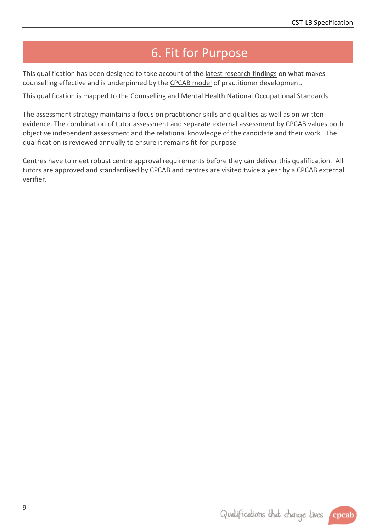#### <span id="page-8-0"></span>6. Fit for Purpose

This qualification has been designed to take account of the [latest research findings](http://www.cpcab.co.uk/qualifications/the-cpcab-model) on what makes counselling effective and is underpinned by the [CPCAB model](http://www.cpcab.co.uk/public_docs/cpcab_model) of practitioner development.

This qualification is mapped to the Counselling and Mental Health National Occupational Standards.

The assessment strategy maintains a focus on practitioner skills and qualities as well as on written evidence. The combination of tutor assessment and separate external assessment by CPCAB values both objective independent assessment and the relational knowledge of the candidate and their work. The qualification is reviewed annually to ensure it remains fit-for-purpose

Centres have to meet robust centre approval requirements before they can deliver this qualification. All tutors are approved and standardised by CPCAB and centres are visited twice a year by a CPCAB external verifier.